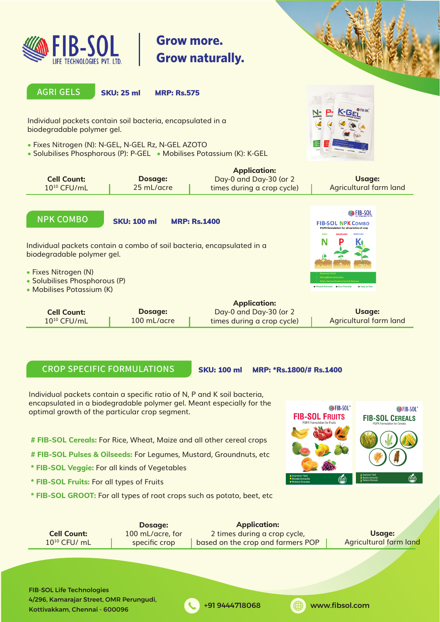

# **Grow more. Grow naturally.**



#### **AGRI GELS**

SKU: 25 ml MRP: Rs.575

Individual packets contain soil bacteria, encapsulated in a biodegradable polymer gel.

- Fixes Nitrogen (N): N-GEL, N-GEL Rz, N-GEL AZOTO
- Solubilises Phosphorous (P): P-GEL Mobilises Potassium (K): K-GEL



|                    |            | <b>Application:</b>        |                        |
|--------------------|------------|----------------------------|------------------------|
| <b>Cell Count:</b> | Dosage:    | Day-0 and Day-30 (or 2     | Usage:                 |
| $10^{10}$ CFU/mL   | 25 mL/acre | times during a crop cycle) | Agricultural farm land |
|                    |            |                            |                        |

## **NPK COMBO**

SKU: 100 ml MRP: Rs.1400

Individual packets contain a combo of soil bacteria, encapsulated in a biodegradable polymer gel.

- Fixes Nitrogen (N)
- Solubilises Phosphorous (P)
- Mobilises Potassium (K)



|                  |               | Application:               |                        |
|------------------|---------------|----------------------------|------------------------|
| Cell Count:      | Dosage:       | Day-0 and Day-30 (or $2$   | Usage:                 |
| $10^{10}$ CFU/mL | $100$ mL/acre | times during a crop cycle) | Agricultural farm land |

#### **CROP SPECIFIC FORMULATIONS**

SKU: 100 ml MRP: \*Rs.1800/# Rs.1400

Individual packets contain a specific ratio of N, P and K soil bacteria, encapsulated in a biodegradable polymer gel. Meant especially for the optimal growth of the particular crop segment.

- **# FIB-SOL Cereals:** For Rice, Wheat, Maize and all other cereal crops
- **# FIB-SOL Pulses & Oilseeds:** For Legumes, Mustard, Groundnuts, etc
- **\* FIB-SOL Veggie:** For all kinds of Vegetables
- **\* FIB-SOL Fruits:** For all types of Fruits
- **\* FIB-SOL GROOT:** For all types of root crops such as potato, beet, etc